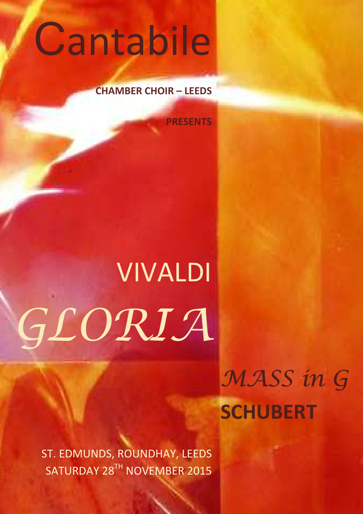# Cantabile

## **CHAMBER CHOIR – LEEDS**

**PRESENTS** 

# VIVALDI GLORIA

MASS in G **SCHUBERT**

ST. EDMUNDS, ROUNDHAY, LEEDS SATURDAY 28TH NOVEMBER 2015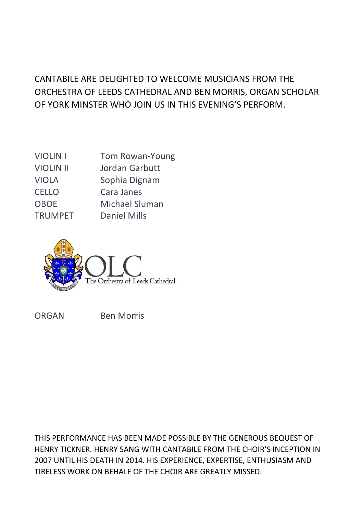# CANTABILE ARE DELIGHTED TO WELCOME MUSICIANS FROM THE ORCHESTRA OF LEEDS CATHEDRAL AND BEN MORRIS, ORGAN SCHOLAR OF YORK MINSTER WHO JOIN US IN THIS EVENING'S PERFORM.

| <b>Tom Rowan-Young</b> |
|------------------------|
| Jordan Garbutt         |
| Sophia Dignam          |
| Cara Janes             |
| Michael Sluman         |
| <b>Daniel Mills</b>    |
|                        |



ORGAN Ben Morris

THIS PERFORMANCE HAS BEEN MADE POSSIBLE BY THE GENEROUS BEQUEST OF HENRY TICKNER. HENRY SANG WITH CANTABILE FROM THE CHOIR'S INCEPTION IN 2007 UNTIL HIS DEATH IN 2014. HIS EXPERIENCE, EXPERTISE, ENTHUSIASM AND TIRELESS WORK ON BEHALF OF THE CHOIR ARE GREATLY MISSED.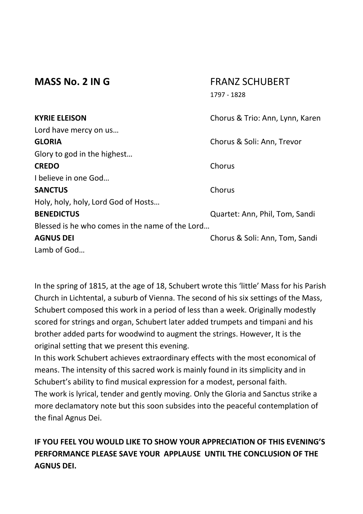### **MASS No. 2 IN G** FRANZ SCHUBERT 1797 - 1828

| <b>KYRIE ELEISON</b>                            | Chorus & Trio: Ann, Lynn, Karen |
|-------------------------------------------------|---------------------------------|
| Lord have mercy on us                           |                                 |
| <b>GLORIA</b>                                   | Chorus & Soli: Ann, Trevor      |
| Glory to god in the highest                     |                                 |
| <b>CREDO</b>                                    | Chorus                          |
| I believe in one God                            |                                 |
| <b>SANCTUS</b>                                  | Chorus                          |
| Holy, holy, holy, Lord God of Hosts             |                                 |
| <b>BENEDICTUS</b>                               | Quartet: Ann, Phil, Tom, Sandi  |
| Blessed is he who comes in the name of the Lord |                                 |
| <b>AGNUS DEI</b>                                | Chorus & Soli: Ann, Tom, Sandi  |
| Lamb of God                                     |                                 |

In the spring of 1815, at the age of 18, Schubert wrote this 'little' Mass for his Parish Church in Lichtental, a suburb of Vienna. The second of his six settings of the Mass, Schubert composed this work in a period of less than a week. Originally modestly scored for strings and organ, Schubert later added trumpets and timpani and his brother added parts for woodwind to augment the strings. However, It is the original setting that we present this evening.

In this work Schubert achieves extraordinary effects with the most economical of means. The intensity of this sacred work is mainly found in its simplicity and in Schubert's ability to find musical expression for a modest, personal faith. The work is lyrical, tender and gently moving. Only the Gloria and Sanctus strike a more declamatory note but this soon subsides into the peaceful contemplation of the final Agnus Dei.

## **IF YOU FEEL YOU WOULD LIKE TO SHOW YOUR APPRECIATION OF THIS EVENING'S PERFORMANCE PLEASE SAVE YOUR APPLAUSE UNTIL THE CONCLUSION OF THE AGNUS DEI.**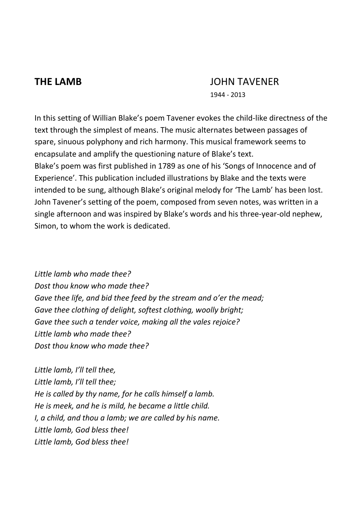## **THE LAMB** JOHN TAVENER

1944 - 2013

In this setting of Willian Blake's poem Tavener evokes the child-like directness of the text through the simplest of means. The music alternates between passages of spare, sinuous polyphony and rich harmony. This musical framework seems to encapsulate and amplify the questioning nature of Blake's text. Blake's poem was first published in 1789 as one of his 'Songs of Innocence and of Experience'. This publication included illustrations by Blake and the texts were intended to be sung, although Blake's original melody for 'The Lamb' has been lost. John Tavener's setting of the poem, composed from seven notes, was written in a single afternoon and was inspired by Blake's words and his three-year-old nephew, Simon, to whom the work is dedicated.

*Little lamb who made thee? Dost thou know who made thee? Gave thee life, and bid thee feed by the stream and o'er the mead; Gave thee clothing of delight, softest clothing, woolly bright; Gave thee such a tender voice, making all the vales rejoice? Little lamb who made thee? Dost thou know who made thee?* 

*Little lamb, I'll tell thee, Little lamb, I'll tell thee; He is called by thy name, for he calls himself a lamb. He is meek, and he is mild, he became a little child. I, a child, and thou a lamb; we are called by his name. Little lamb, God bless thee! Little lamb, God bless thee!*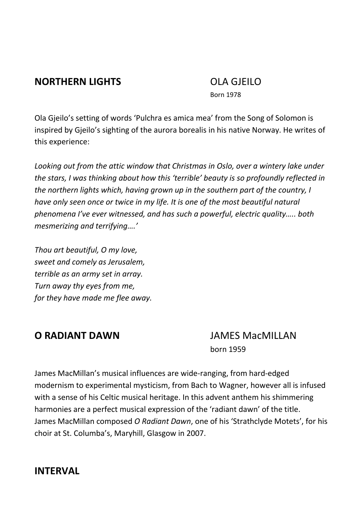## **NORTHERN LIGHTS** OLA GJEILO

Born 1978

Ola Gjeilo's setting of words 'Pulchra es amica mea' from the Song of Solomon is inspired by Gjeilo's sighting of the aurora borealis in his native Norway. He writes of this experience:

*Looking out from the attic window that Christmas in Oslo, over a wintery lake under the stars, I was thinking about how this 'terrible' beauty is so profoundly reflected in the northern lights which, having grown up in the southern part of the country, I have only seen once or twice in my life. It is one of the most beautiful natural phenomena I've ever witnessed, and has such a powerful, electric quality….. both mesmerizing and terrifying….'*

*Thou art beautiful, O my love, sweet and comely as Jerusalem, terrible as an army set in array. Turn away thy eyes from me, for they have made me flee away.* 

### **O RADIANT DAWN** JAMES MacMILLAN born 1959

James MacMillan's musical influences are wide-ranging, from hard-edged modernism to experimental mysticism, from Bach to Wagner, however all is infused with a sense of his Celtic musical heritage. In this advent anthem his shimmering harmonies are a perfect musical expression of the 'radiant dawn' of the title. James MacMillan composed *O Radiant Dawn*, one of his 'Strathclyde Motets', for his choir at St. Columba's, Maryhill, Glasgow in 2007.

# **INTERVAL**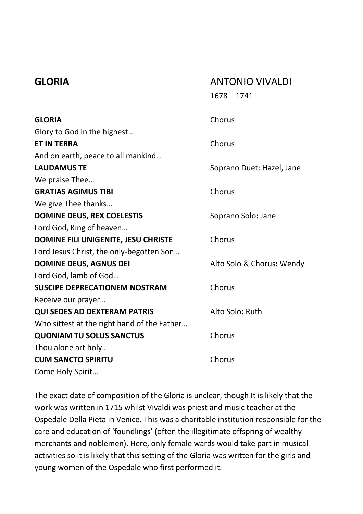## **GLORIA** ANTONIO VIVALDI 1678 – 1741

| <b>GLORIA</b>                               | Chorus                    |
|---------------------------------------------|---------------------------|
| Glory to God in the highest                 |                           |
| <b>ET IN TERRA</b>                          | Chorus                    |
| And on earth, peace to all mankind          |                           |
| <b>LAUDAMUS TE</b>                          | Soprano Duet: Hazel, Jane |
| We praise Thee                              |                           |
| <b>GRATIAS AGIMUS TIBI</b>                  | Chorus                    |
| We give Thee thanks                         |                           |
| <b>DOMINE DEUS, REX COELESTIS</b>           | Soprano Solo: Jane        |
| Lord God, King of heaven                    |                           |
| DOMINE FILI UNIGENITE, JESU CHRISTE         | Chorus                    |
| Lord Jesus Christ, the only-begotten Son    |                           |
| <b>DOMINE DEUS, AGNUS DEI</b>               | Alto Solo & Chorus: Wendy |
| Lord God, lamb of God                       |                           |
| <b>SUSCIPE DEPRECATIONEM NOSTRAM</b>        | Chorus                    |
| Receive our prayer                          |                           |
| <b>QUI SEDES AD DEXTERAM PATRIS</b>         | Alto Solo: Ruth           |
| Who sittest at the right hand of the Father |                           |
| <b>QUONIAM TU SOLUS SANCTUS</b>             | Chorus                    |
| Thou alone art holy                         |                           |
| <b>CUM SANCTO SPIRITU</b>                   | Chorus                    |
| Come Holy Spirit                            |                           |

The exact date of composition of the Gloria is unclear, though It is likely that the work was written in 1715 whilst Vivaldi was priest and music teacher at the Ospedale Della Pieta in Venice. This was a charitable institution responsible for the care and education of 'foundlings' (often the illegitimate offspring of wealthy merchants and noblemen). Here, only female wards would take part in musical activities so it is likely that this setting of the Gloria was written for the girls and young women of the Ospedale who first performed it.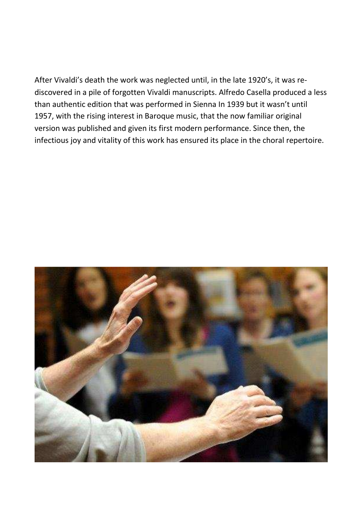After Vivaldi's death the work was neglected until, in the late 1920's, it was rediscovered in a pile of forgotten Vivaldi manuscripts. Alfredo Casella produced a less than authentic edition that was performed in Sienna In 1939 but it wasn't until 1957, with the rising interest in Baroque music, that the now familiar original version was published and given its first modern performance. Since then, the infectious joy and vitality of this work has ensured its place in the choral repertoire.